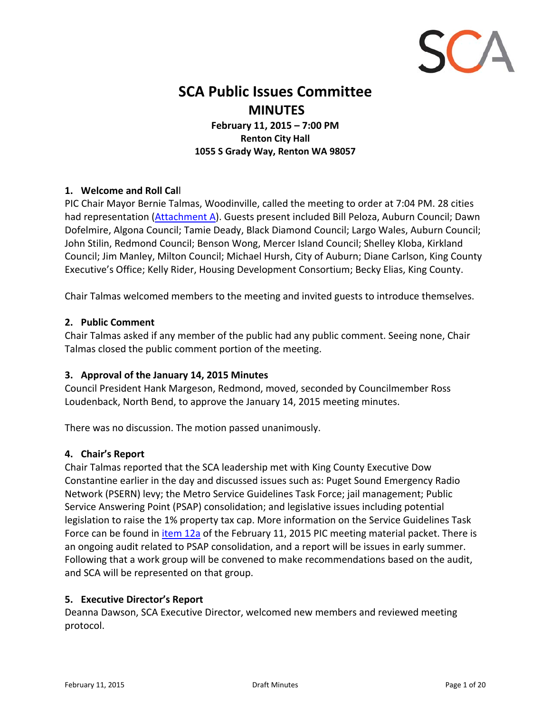

## **SCA Public Issues Committee MINUTES**

**February 11, 2015 – 7:00 PM Renton City Hall 1055 S Grady Way, Renton WA 98057**

## **1. Welcome and Roll Cal**l

PIC Chair Mayor Bernie Talmas, Woodinville, called the meeting to order at 7:04 PM. 28 cities had representation [\(Attachment](#page-8-0) A). Guests present included Bill Peloza, Auburn Council; Dawn Dofelmire, Algona Council; Tamie Deady, Black Diamond Council; Largo Wales, Auburn Council; John Stilin, Redmond Council; Benson Wong, Mercer Island Council; Shelley Kloba, Kirkland Council; Jim Manley, Milton Council; Michael Hursh, City of Auburn; Diane Carlson, King County Executive's Office; Kelly Rider, Housing Development Consortium; Becky Elias, King County.

Chair Talmas welcomed members to the meeting and invited guests to introduce themselves.

#### **2. Public Comment**

Chair Talmas asked if any member of the public had any public comment. Seeing none, Chair Talmas closed the public comment portion of the meeting.

## **3. Approval of the January 14, 2015 Minutes**

Council President Hank Margeson, Redmond, moved, seconded by Councilmember Ross Loudenback, North Bend, to approve the January 14, 2015 meeting minutes.

There was no discussion. The motion passed unanimously.

#### **4. Chair's Report**

Chair Talmas reported that the SCA leadership met with King County Executive Dow Constantine earlier in the day and discussed issues such as: Puget Sound Emergency Radio Network (PSERN) levy; the Metro Service Guidelines Task Force; jail management; Public Service Answering Point (PSAP) consolidation; and legislative issues including potential legislation to raise the 1% property tax cap. More information on the Service Guidelines Task Force can be found in *[item](http://soundcities.org/wp-content/uploads/pdfs/pic-agendas/PACKET%20February%2011%202015%20PIC.pdf) 12a* of the February 11, 2015 PIC meeting material packet. There is an ongoing audit related to PSAP consolidation, and a report will be issues in early summer. Following that a work group will be convened to make recommendations based on the audit, and SCA will be represented on that group.

## **5. Executive Director's Report**

Deanna Dawson, SCA Executive Director, welcomed new members and reviewed meeting protocol.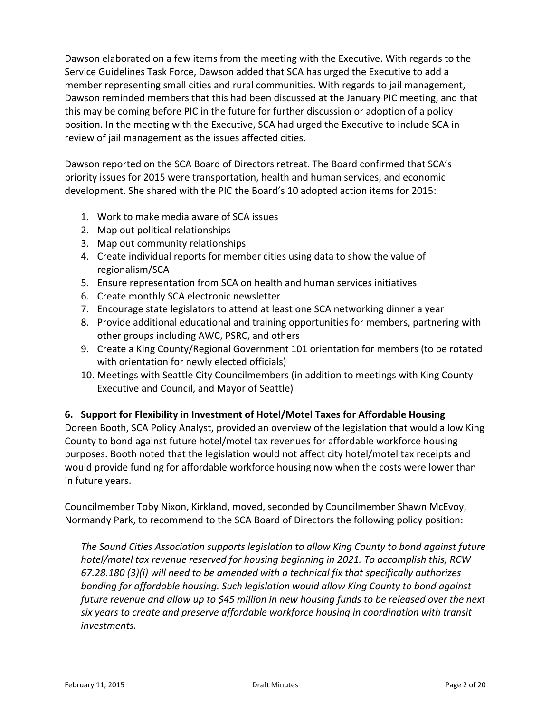Dawson elaborated on a few items from the meeting with the Executive. With regards to the Service Guidelines Task Force, Dawson added that SCA has urged the Executive to add a member representing small cities and rural communities. With regards to jail management, Dawson reminded members that this had been discussed at the January PIC meeting, and that this may be coming before PIC in the future for further discussion or adoption of a policy position. In the meeting with the Executive, SCA had urged the Executive to include SCA in review of jail management as the issues affected cities.

Dawson reported on the SCA Board of Directors retreat. The Board confirmed that SCA's priority issues for 2015 were transportation, health and human services, and economic development. She shared with the PIC the Board's 10 adopted action items for 2015:

- 1. Work to make media aware of SCA issues
- 2. Map out political relationships
- 3. Map out community relationships
- 4. Create individual reports for member cities using data to show the value of regionalism/SCA
- 5. Ensure representation from SCA on health and human services initiatives
- 6. Create monthly SCA electronic newsletter
- 7. Encourage state legislators to attend at least one SCA networking dinner a year
- 8. Provide additional educational and training opportunities for members, partnering with other groups including AWC, PSRC, and others
- 9. Create a King County/Regional Government 101 orientation for members (to be rotated with orientation for newly elected officials)
- 10. Meetings with Seattle City Councilmembers (in addition to meetings with King County Executive and Council, and Mayor of Seattle)

## **6. Support for Flexibility in Investment of Hotel/Motel Taxes for Affordable Housing**

Doreen Booth, SCA Policy Analyst, provided an overview of the legislation that would allow King County to bond against future hotel/motel tax revenues for affordable workforce housing purposes. Booth noted that the legislation would not affect city hotel/motel tax receipts and would provide funding for affordable workforce housing now when the costs were lower than in future years.

Councilmember Toby Nixon, Kirkland, moved, seconded by Councilmember Shawn McEvoy, Normandy Park, to recommend to the SCA Board of Directors the following policy position:

*The Sound Cities Association supports legislation to allow King County to bond against future hotel/motel tax revenue reserved for housing beginning in 2021. To accomplish this, RCW 67.28.180 (3)(i) will need to be amended with a technical fix that specifically authorizes bonding for affordable housing. Such legislation would allow King County to bond against future revenue and allow up to \$45 million in new housing funds to be released over the next six years to create and preserve affordable workforce housing in coordination with transit investments.*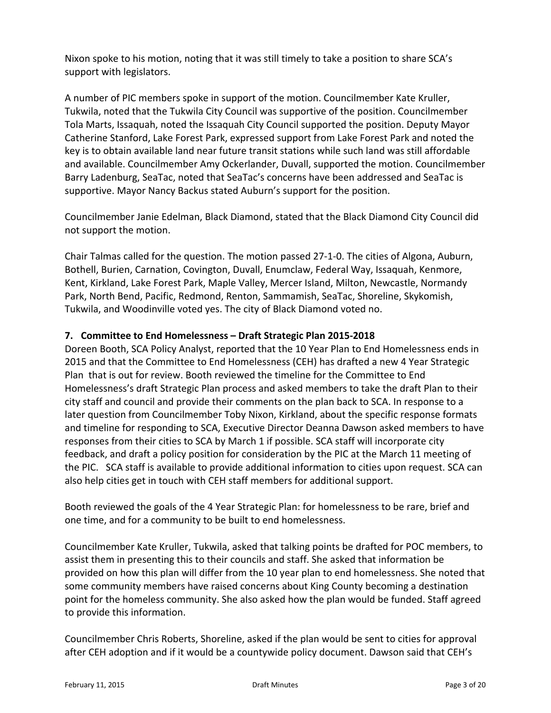Nixon spoke to his motion, noting that it was still timely to take a position to share SCA's support with legislators.

A number of PIC members spoke in support of the motion. Councilmember Kate Kruller, Tukwila, noted that the Tukwila City Council was supportive of the position. Councilmember Tola Marts, Issaquah, noted the Issaquah City Council supported the position. Deputy Mayor Catherine Stanford, Lake Forest Park, expressed support from Lake Forest Park and noted the key is to obtain available land near future transit stations while such land was still affordable and available. Councilmember Amy Ockerlander, Duvall, supported the motion. Councilmember Barry Ladenburg, SeaTac, noted that SeaTac's concerns have been addressed and SeaTac is supportive. Mayor Nancy Backus stated Auburn's support for the position.

Councilmember Janie Edelman, Black Diamond, stated that the Black Diamond City Council did not support the motion.

Chair Talmas called for the question. The motion passed 27‐1‐0. The cities of Algona, Auburn, Bothell, Burien, Carnation, Covington, Duvall, Enumclaw, Federal Way, Issaquah, Kenmore, Kent, Kirkland, Lake Forest Park, Maple Valley, Mercer Island, Milton, Newcastle, Normandy Park, North Bend, Pacific, Redmond, Renton, Sammamish, SeaTac, Shoreline, Skykomish, Tukwila, and Woodinville voted yes. The city of Black Diamond voted no.

## **7. Committee to End Homelessness – Draft Strategic Plan 2015‐2018**

Doreen Booth, SCA Policy Analyst, reported that the 10 Year Plan to End Homelessness ends in 2015 and that the Committee to End Homelessness (CEH) has drafted a new 4 Year Strategic Plan that is out for review. Booth reviewed the timeline for the Committee to End Homelessness's draft Strategic Plan process and asked members to take the draft Plan to their city staff and council and provide their comments on the plan back to SCA. In response to a later question from Councilmember Toby Nixon, Kirkland, about the specific response formats and timeline for responding to SCA, Executive Director Deanna Dawson asked members to have responses from their cities to SCA by March 1 if possible. SCA staff will incorporate city feedback, and draft a policy position for consideration by the PIC at the March 11 meeting of the PIC. SCA staff is available to provide additional information to cities upon request. SCA can also help cities get in touch with CEH staff members for additional support.

Booth reviewed the goals of the 4 Year Strategic Plan: for homelessness to be rare, brief and one time, and for a community to be built to end homelessness.

Councilmember Kate Kruller, Tukwila, asked that talking points be drafted for POC members, to assist them in presenting this to their councils and staff. She asked that information be provided on how this plan will differ from the 10 year plan to end homelessness. She noted that some community members have raised concerns about King County becoming a destination point for the homeless community. She also asked how the plan would be funded. Staff agreed to provide this information.

Councilmember Chris Roberts, Shoreline, asked if the plan would be sent to cities for approval after CEH adoption and if it would be a countywide policy document. Dawson said that CEH's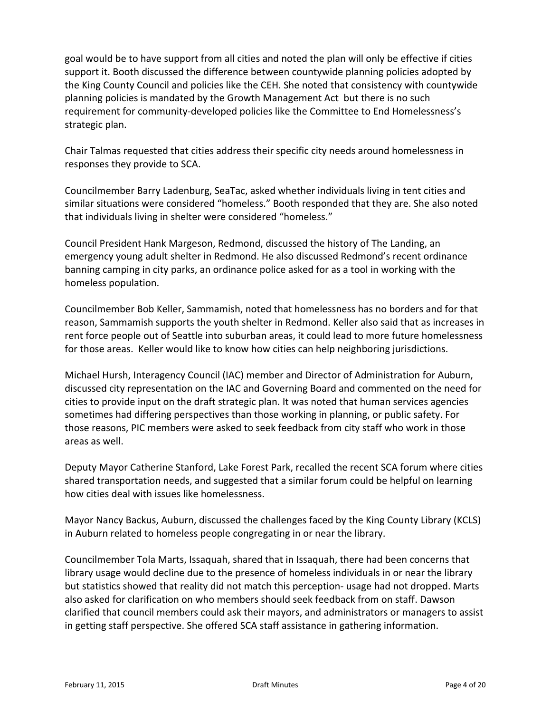goal would be to have support from all cities and noted the plan will only be effective if cities support it. Booth discussed the difference between countywide planning policies adopted by the King County Council and policies like the CEH. She noted that consistency with countywide planning policies is mandated by the Growth Management Act but there is no such requirement for community‐developed policies like the Committee to End Homelessness's strategic plan.

Chair Talmas requested that cities address their specific city needs around homelessness in responses they provide to SCA.

Councilmember Barry Ladenburg, SeaTac, asked whether individuals living in tent cities and similar situations were considered "homeless." Booth responded that they are. She also noted that individuals living in shelter were considered "homeless."

Council President Hank Margeson, Redmond, discussed the history of The Landing, an emergency young adult shelter in Redmond. He also discussed Redmond's recent ordinance banning camping in city parks, an ordinance police asked for as a tool in working with the homeless population.

Councilmember Bob Keller, Sammamish, noted that homelessness has no borders and for that reason, Sammamish supports the youth shelter in Redmond. Keller also said that as increases in rent force people out of Seattle into suburban areas, it could lead to more future homelessness for those areas. Keller would like to know how cities can help neighboring jurisdictions.

Michael Hursh, Interagency Council (IAC) member and Director of Administration for Auburn, discussed city representation on the IAC and Governing Board and commented on the need for cities to provide input on the draft strategic plan. It was noted that human services agencies sometimes had differing perspectives than those working in planning, or public safety. For those reasons, PIC members were asked to seek feedback from city staff who work in those areas as well.

Deputy Mayor Catherine Stanford, Lake Forest Park, recalled the recent SCA forum where cities shared transportation needs, and suggested that a similar forum could be helpful on learning how cities deal with issues like homelessness.

Mayor Nancy Backus, Auburn, discussed the challenges faced by the King County Library (KCLS) in Auburn related to homeless people congregating in or near the library.

Councilmember Tola Marts, Issaquah, shared that in Issaquah, there had been concerns that library usage would decline due to the presence of homeless individuals in or near the library but statistics showed that reality did not match this perception‐ usage had not dropped. Marts also asked for clarification on who members should seek feedback from on staff. Dawson clarified that council members could ask their mayors, and administrators or managers to assist in getting staff perspective. She offered SCA staff assistance in gathering information.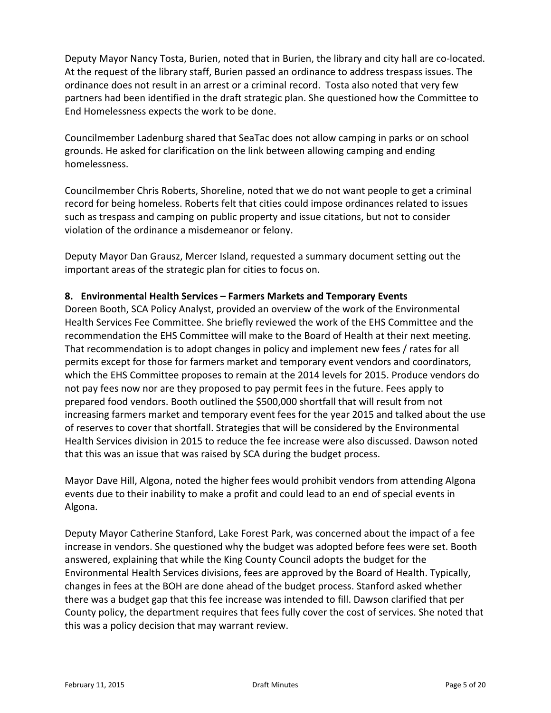Deputy Mayor Nancy Tosta, Burien, noted that in Burien, the library and city hall are co‐located. At the request of the library staff, Burien passed an ordinance to address trespass issues. The ordinance does not result in an arrest or a criminal record. Tosta also noted that very few partners had been identified in the draft strategic plan. She questioned how the Committee to End Homelessness expects the work to be done.

Councilmember Ladenburg shared that SeaTac does not allow camping in parks or on school grounds. He asked for clarification on the link between allowing camping and ending homelessness.

Councilmember Chris Roberts, Shoreline, noted that we do not want people to get a criminal record for being homeless. Roberts felt that cities could impose ordinances related to issues such as trespass and camping on public property and issue citations, but not to consider violation of the ordinance a misdemeanor or felony.

Deputy Mayor Dan Grausz, Mercer Island, requested a summary document setting out the important areas of the strategic plan for cities to focus on.

## **8. Environmental Health Services – Farmers Markets and Temporary Events**

Doreen Booth, SCA Policy Analyst, provided an overview of the work of the Environmental Health Services Fee Committee. She briefly reviewed the work of the EHS Committee and the recommendation the EHS Committee will make to the Board of Health at their next meeting. That recommendation is to adopt changes in policy and implement new fees / rates for all permits except for those for farmers market and temporary event vendors and coordinators, which the EHS Committee proposes to remain at the 2014 levels for 2015. Produce vendors do not pay fees now nor are they proposed to pay permit fees in the future. Fees apply to prepared food vendors. Booth outlined the \$500,000 shortfall that will result from not increasing farmers market and temporary event fees for the year 2015 and talked about the use of reserves to cover that shortfall. Strategies that will be considered by the Environmental Health Services division in 2015 to reduce the fee increase were also discussed. Dawson noted that this was an issue that was raised by SCA during the budget process.

Mayor Dave Hill, Algona, noted the higher fees would prohibit vendors from attending Algona events due to their inability to make a profit and could lead to an end of special events in Algona.

Deputy Mayor Catherine Stanford, Lake Forest Park, was concerned about the impact of a fee increase in vendors. She questioned why the budget was adopted before fees were set. Booth answered, explaining that while the King County Council adopts the budget for the Environmental Health Services divisions, fees are approved by the Board of Health. Typically, changes in fees at the BOH are done ahead of the budget process. Stanford asked whether there was a budget gap that this fee increase was intended to fill. Dawson clarified that per County policy, the department requires that fees fully cover the cost of services. She noted that this was a policy decision that may warrant review.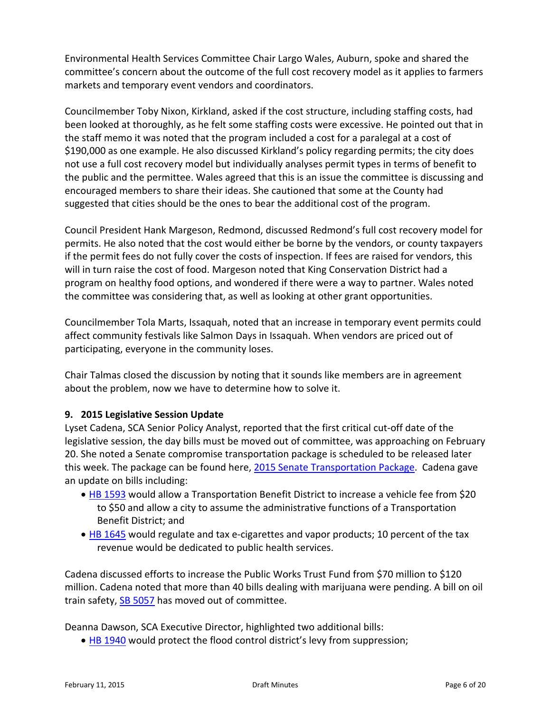Environmental Health Services Committee Chair Largo Wales, Auburn, spoke and shared the committee's concern about the outcome of the full cost recovery model as it applies to farmers markets and temporary event vendors and coordinators.

Councilmember Toby Nixon, Kirkland, asked if the cost structure, including staffing costs, had been looked at thoroughly, as he felt some staffing costs were excessive. He pointed out that in the staff memo it was noted that the program included a cost for a paralegal at a cost of \$190,000 as one example. He also discussed Kirkland's policy regarding permits; the city does not use a full cost recovery model but individually analyses permit types in terms of benefit to the public and the permittee. Wales agreed that this is an issue the committee is discussing and encouraged members to share their ideas. She cautioned that some at the County had suggested that cities should be the ones to bear the additional cost of the program.

Council President Hank Margeson, Redmond, discussed Redmond's full cost recovery model for permits. He also noted that the cost would either be borne by the vendors, or county taxpayers if the permit fees do not fully cover the costs of inspection. If fees are raised for vendors, this will in turn raise the cost of food. Margeson noted that King Conservation District had a program on healthy food options, and wondered if there were a way to partner. Wales noted the committee was considering that, as well as looking at other grant opportunities.

Councilmember Tola Marts, Issaquah, noted that an increase in temporary event permits could affect community festivals like Salmon Days in Issaquah. When vendors are priced out of participating, everyone in the community loses.

Chair Talmas closed the discussion by noting that it sounds like members are in agreement about the problem, now we have to determine how to solve it.

## **9. 2015 Legislative Session Update**

Lyset Cadena, SCA Senior Policy Analyst, reported that the first critical cut‐off date of the legislative session, the day bills must be moved out of committee, was approaching on February 20. She noted a Senate compromise transportation package is scheduled to be released later this week. The package can be found here, 2015 Senate [Transportation](http://leg.wa.gov/Senate/Committees/TRAN/Pages/default.aspx) Package. Cadena gave an update on bills including:

- HB [1593](http://apps.leg.wa.gov/billinfo/summary.aspx?bill=1593&year=2015) would allow a Transportation Benefit District to increase a vehicle fee from \$20 to \$50 and allow a city to assume the administrative functions of a Transportation Benefit District; and
- HB [1645](http://apps.leg.wa.gov/billinfo/summary.aspx?bill=1645&year=2015) would regulate and tax e-cigarettes and vapor products; 10 percent of the tax revenue would be dedicated to public health services.

Cadena discussed efforts to increase the Public Works Trust Fund from \$70 million to \$120 million. Cadena noted that more than 40 bills dealing with marijuana were pending. A bill on oil train safety, SB [5057](http://lawfilesext.leg.wa.gov/biennium/2015-16/Pdf/Bills/Senate Bills/5057-S.pdf) has moved out of committee.

Deanna Dawson, SCA Executive Director, highlighted two additional bills:

• HB [1940](http://apps.leg.wa.gov/billinfo/summary.aspx?bill=1940&year=2015) would protect the flood control district's levy from suppression;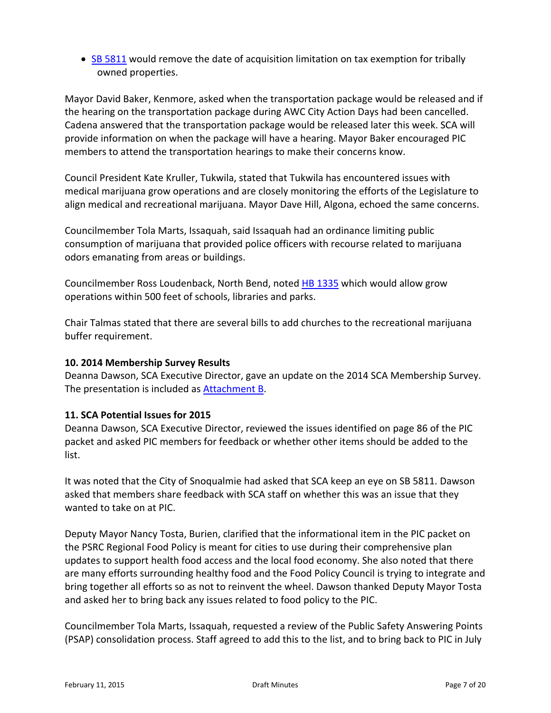• SB [5811](http://apps.leg.wa.gov/billinfo/summary.aspx?bill=5811&year=2015) would remove the date of acquisition limitation on tax exemption for tribally owned properties.

Mayor David Baker, Kenmore, asked when the transportation package would be released and if the hearing on the transportation package during AWC City Action Days had been cancelled. Cadena answered that the transportation package would be released later this week. SCA will provide information on when the package will have a hearing. Mayor Baker encouraged PIC members to attend the transportation hearings to make their concerns know.

Council President Kate Kruller, Tukwila, stated that Tukwila has encountered issues with medical marijuana grow operations and are closely monitoring the efforts of the Legislature to align medical and recreational marijuana. Mayor Dave Hill, Algona, echoed the same concerns.

Councilmember Tola Marts, Issaquah, said Issaquah had an ordinance limiting public consumption of marijuana that provided police officers with recourse related to marijuana odors emanating from areas or buildings.

Councilmember Ross Loudenback, North Bend, noted HB [1335](http://apps.leg.wa.gov/billinfo/summary.aspx?bill=1335&year=2015) which would allow grow operations within 500 feet of schools, libraries and parks.

Chair Talmas stated that there are several bills to add churches to the recreational marijuana buffer requirement.

## **10. 2014 Membership Survey Results**

Deanna Dawson, SCA Executive Director, gave an update on the 2014 SCA Membership Survey. The presentation is included as [Attachment](#page-9-0) B.

## **11. SCA Potential Issues for 2015**

Deanna Dawson, SCA Executive Director, reviewed the issues identified on page 86 of the PIC packet and asked PIC members for feedback or whether other items should be added to the list.

It was noted that the City of Snoqualmie had asked that SCA keep an eye on SB 5811. Dawson asked that members share feedback with SCA staff on whether this was an issue that they wanted to take on at PIC.

Deputy Mayor Nancy Tosta, Burien, clarified that the informational item in the PIC packet on the PSRC Regional Food Policy is meant for cities to use during their comprehensive plan updates to support health food access and the local food economy. She also noted that there are many efforts surrounding healthy food and the Food Policy Council is trying to integrate and bring together all efforts so as not to reinvent the wheel. Dawson thanked Deputy Mayor Tosta and asked her to bring back any issues related to food policy to the PIC.

Councilmember Tola Marts, Issaquah, requested a review of the Public Safety Answering Points (PSAP) consolidation process. Staff agreed to add this to the list, and to bring back to PIC in July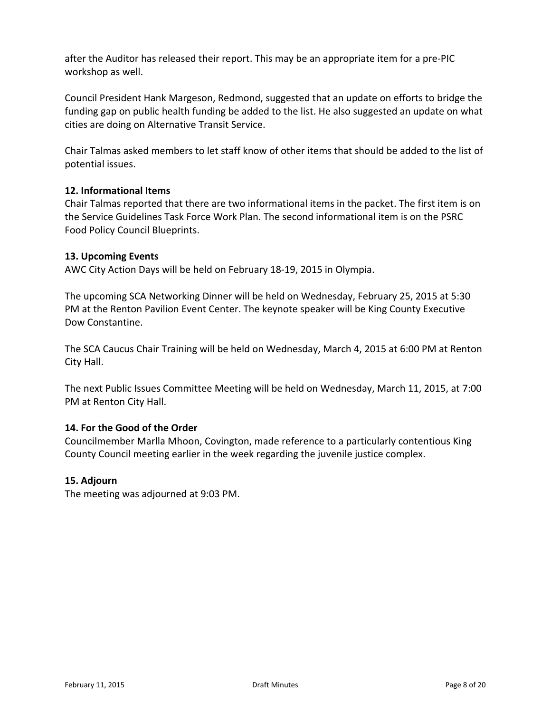after the Auditor has released their report. This may be an appropriate item for a pre‐PIC workshop as well.

Council President Hank Margeson, Redmond, suggested that an update on efforts to bridge the funding gap on public health funding be added to the list. He also suggested an update on what cities are doing on Alternative Transit Service.

Chair Talmas asked members to let staff know of other items that should be added to the list of potential issues.

## **12. Informational Items**

Chair Talmas reported that there are two informational items in the packet. The first item is on the Service Guidelines Task Force Work Plan. The second informational item is on the PSRC Food Policy Council Blueprints.

#### **13. Upcoming Events**

AWC City Action Days will be held on February 18‐19, 2015 in Olympia.

The upcoming SCA Networking Dinner will be held on Wednesday, February 25, 2015 at 5:30 PM at the Renton Pavilion Event Center. The keynote speaker will be King County Executive Dow Constantine.

The SCA Caucus Chair Training will be held on Wednesday, March 4, 2015 at 6:00 PM at Renton City Hall.

The next Public Issues Committee Meeting will be held on Wednesday, March 11, 2015, at 7:00 PM at Renton City Hall.

## **14. For the Good of the Order**

Councilmember Marlla Mhoon, Covington, made reference to a particularly contentious King County Council meeting earlier in the week regarding the juvenile justice complex.

## **15. Adjourn**

The meeting was adjourned at 9:03 PM.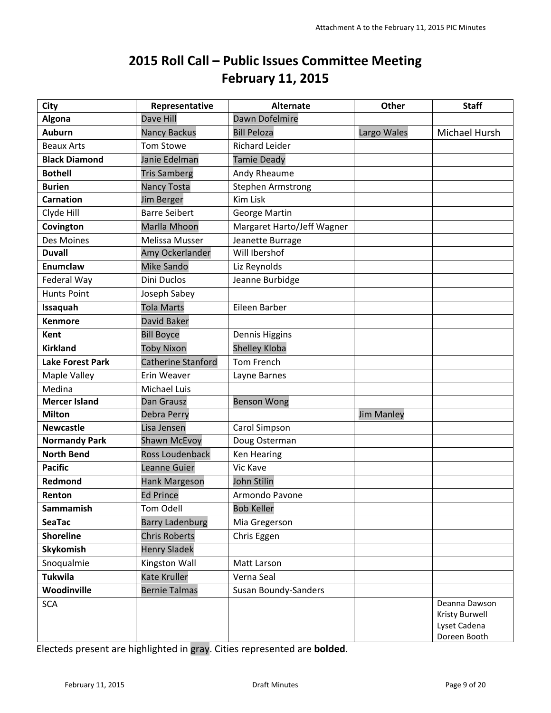## **2015 Roll Call – Public Issues Committee Meeting February 11, 2015**

<span id="page-8-0"></span>

| City                    | Representative         | <b>Alternate</b>           | <b>Other</b>      | <b>Staff</b>                                                    |
|-------------------------|------------------------|----------------------------|-------------------|-----------------------------------------------------------------|
| Algona                  | Dave Hill              | Dawn Dofelmire             |                   |                                                                 |
| <b>Auburn</b>           | <b>Nancy Backus</b>    | <b>Bill Peloza</b>         | Largo Wales       | Michael Hursh                                                   |
| <b>Beaux Arts</b>       | <b>Tom Stowe</b>       | <b>Richard Leider</b>      |                   |                                                                 |
| <b>Black Diamond</b>    | Janie Edelman          | <b>Tamie Deady</b>         |                   |                                                                 |
| <b>Bothell</b>          | <b>Tris Samberg</b>    | Andy Rheaume               |                   |                                                                 |
| <b>Burien</b>           | <b>Nancy Tosta</b>     | <b>Stephen Armstrong</b>   |                   |                                                                 |
| <b>Carnation</b>        | <b>Jim Berger</b>      | <b>Kim Lisk</b>            |                   |                                                                 |
| Clyde Hill              | <b>Barre Seibert</b>   | George Martin              |                   |                                                                 |
| Covington               | Marlla Mhoon           | Margaret Harto/Jeff Wagner |                   |                                                                 |
| Des Moines              | Melissa Musser         | Jeanette Burrage           |                   |                                                                 |
| <b>Duvall</b>           | Amy Ockerlander        | Will Ibershof              |                   |                                                                 |
| <b>Enumclaw</b>         | <b>Mike Sando</b>      | Liz Reynolds               |                   |                                                                 |
| Federal Way             | <b>Dini Duclos</b>     | Jeanne Burbidge            |                   |                                                                 |
| <b>Hunts Point</b>      | Joseph Sabey           |                            |                   |                                                                 |
| Issaquah                | <b>Tola Marts</b>      | Eileen Barber              |                   |                                                                 |
| <b>Kenmore</b>          | David Baker            |                            |                   |                                                                 |
| Kent                    | <b>Bill Boyce</b>      | Dennis Higgins             |                   |                                                                 |
| <b>Kirkland</b>         | <b>Toby Nixon</b>      | <b>Shelley Kloba</b>       |                   |                                                                 |
| <b>Lake Forest Park</b> | Catherine Stanford     | <b>Tom French</b>          |                   |                                                                 |
| Maple Valley            | Erin Weaver            | Layne Barnes               |                   |                                                                 |
| Medina                  | Michael Luis           |                            |                   |                                                                 |
| <b>Mercer Island</b>    | <b>Dan Grausz</b>      | <b>Benson Wong</b>         |                   |                                                                 |
| <b>Milton</b>           | Debra Perry            |                            | <b>Jim Manley</b> |                                                                 |
| <b>Newcastle</b>        | Lisa Jensen            | Carol Simpson              |                   |                                                                 |
| <b>Normandy Park</b>    | <b>Shawn McEvoy</b>    | Doug Osterman              |                   |                                                                 |
| <b>North Bend</b>       | Ross Loudenback        | <b>Ken Hearing</b>         |                   |                                                                 |
| <b>Pacific</b>          | Leanne Guier           | Vic Kave                   |                   |                                                                 |
| Redmond                 | <b>Hank Margeson</b>   | John Stilin                |                   |                                                                 |
| Renton                  | <b>Ed Prince</b>       | Armondo Pavone             |                   |                                                                 |
| Sammamish               | Tom Odell              | <b>Bob Keller</b>          |                   |                                                                 |
| <b>SeaTac</b>           | <b>Barry Ladenburg</b> | Mia Gregerson              |                   |                                                                 |
| <b>Shoreline</b>        | <b>Chris Roberts</b>   | Chris Eggen                |                   |                                                                 |
| Skykomish               | <b>Henry Sladek</b>    |                            |                   |                                                                 |
| Snoqualmie              | Kingston Wall          | Matt Larson                |                   |                                                                 |
| <b>Tukwila</b>          | Kate Kruller           | Verna Seal                 |                   |                                                                 |
| Woodinville             | <b>Bernie Talmas</b>   | Susan Boundy-Sanders       |                   |                                                                 |
| <b>SCA</b>              |                        |                            |                   | Deanna Dawson<br>Kristy Burwell<br>Lyset Cadena<br>Doreen Booth |

Electeds present are highlighted in gray. Cities represented are **bolded**.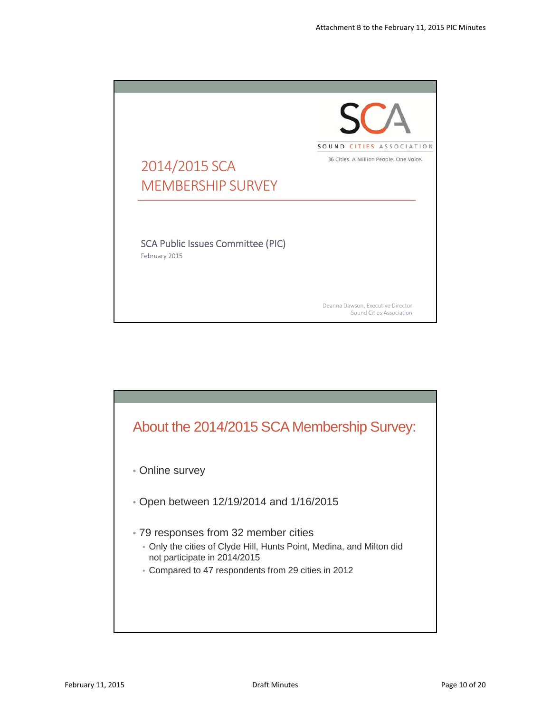<span id="page-9-0"></span>

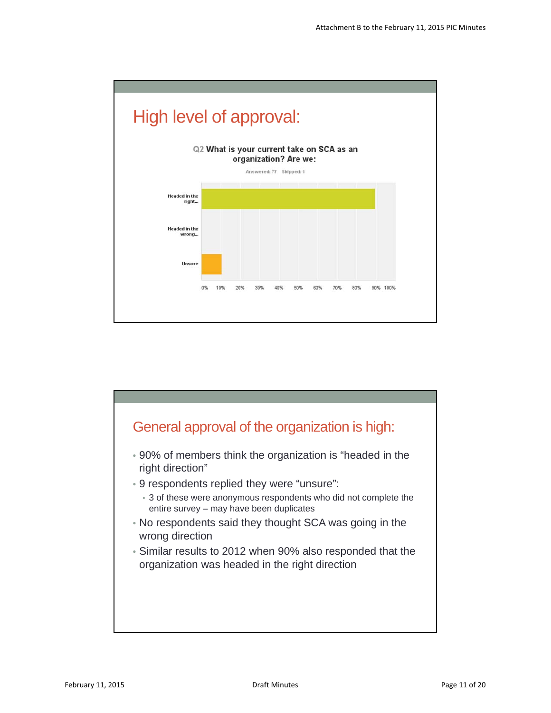

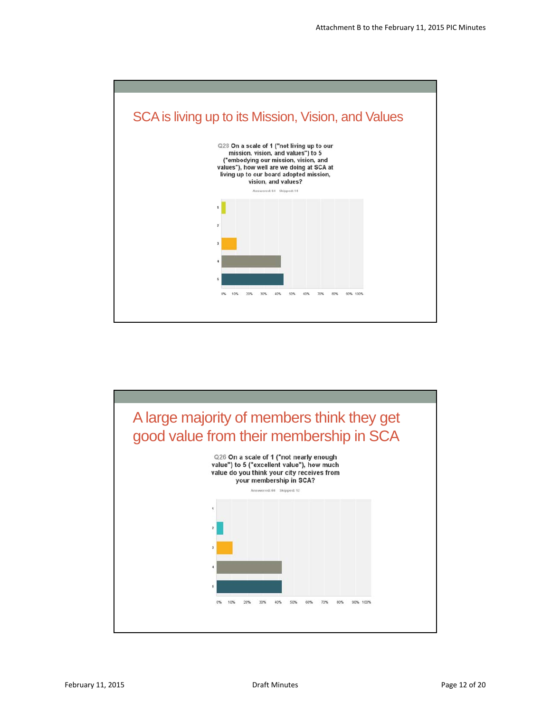

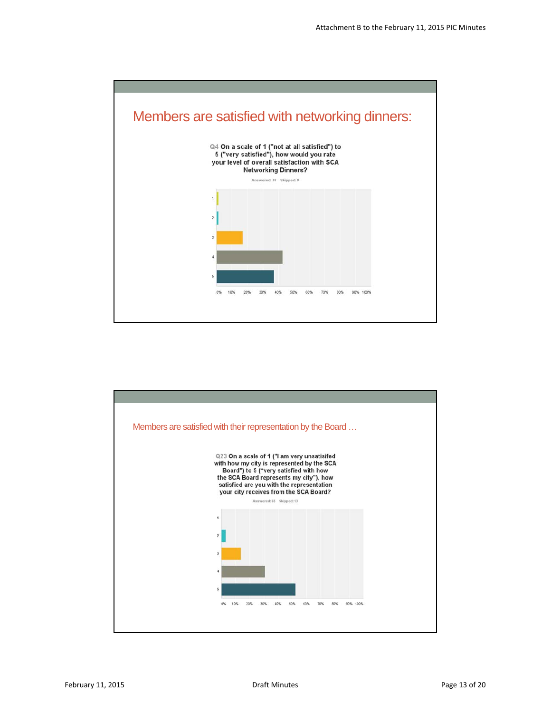

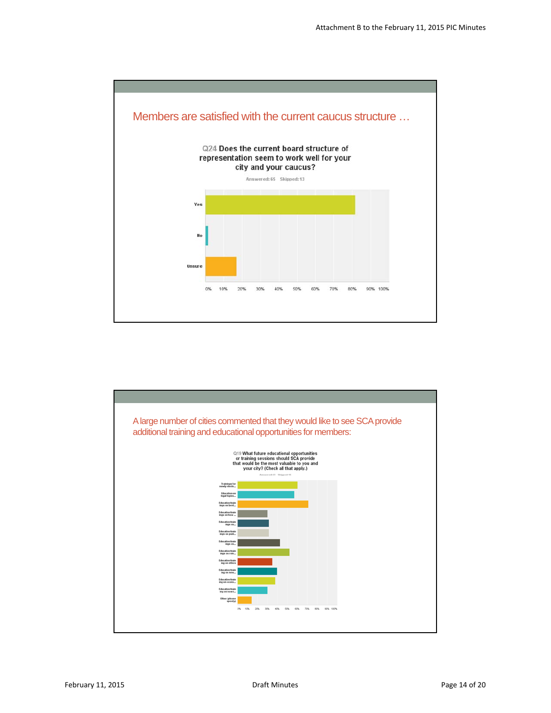

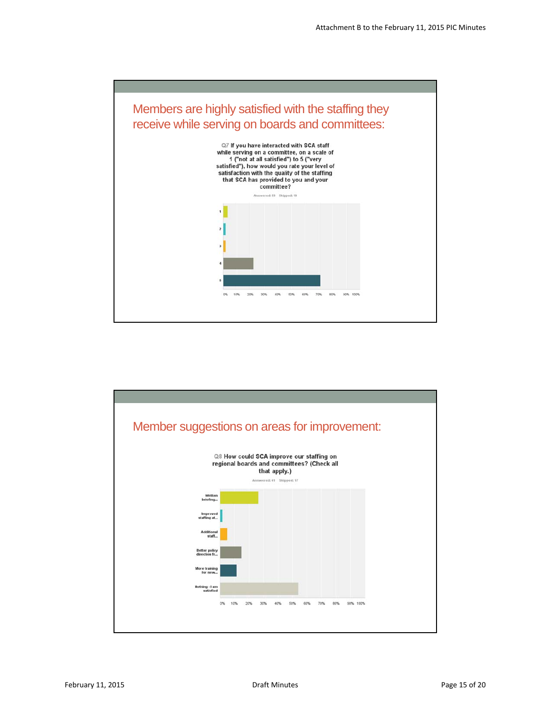

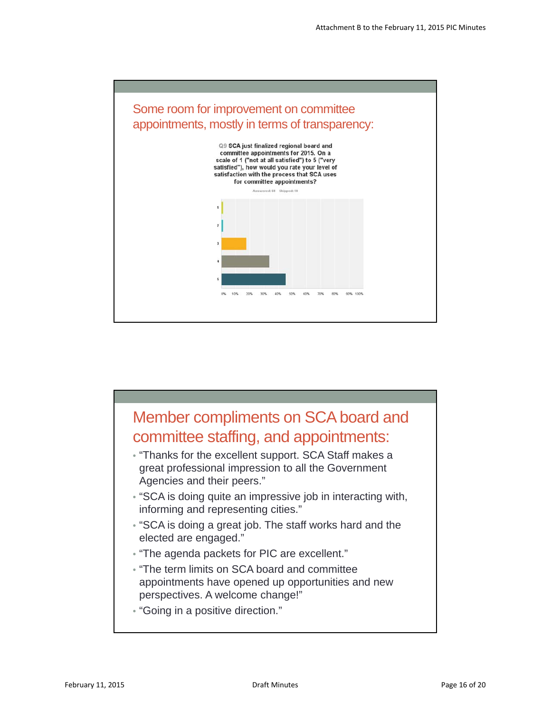

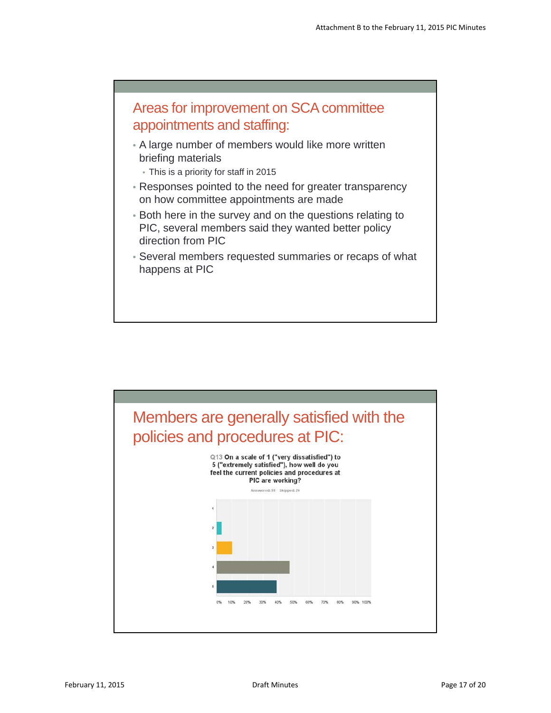

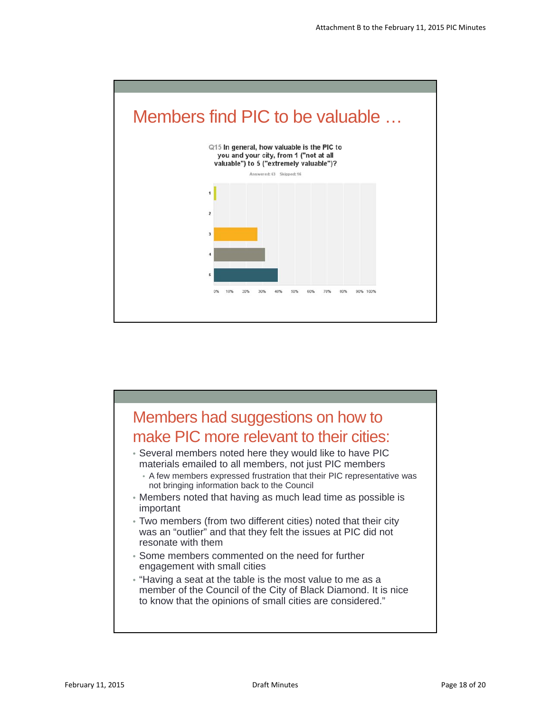

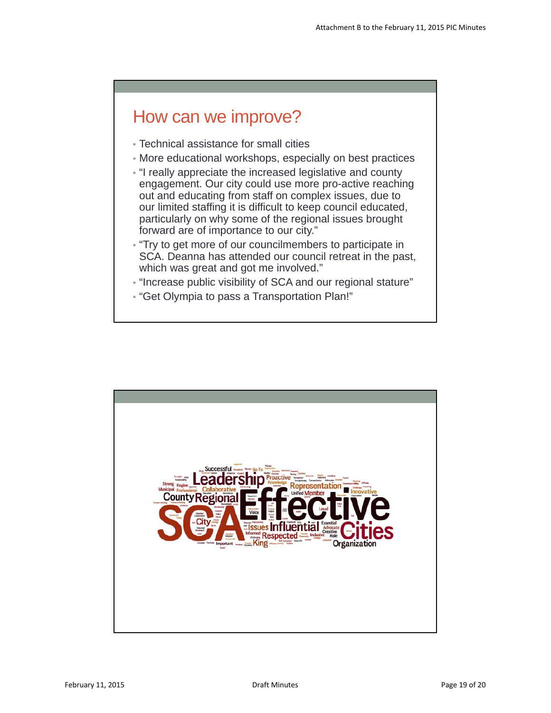# How can we improve?

- Technical assistance for small cities
- More educational workshops, especially on best practices
- "I really appreciate the increased legislative and county engagement. Our city could use more pro-active reaching out and educating from staff on complex issues, due to our limited staffing it is difficult to keep council educated, particularly on why some of the regional issues brought forward are of importance to our city."
- "Try to get more of our councilmembers to participate in SCA. Deanna has attended our council retreat in the past, which was great and got me involved."
- "Increase public visibility of SCA and our regional stature"
- "Get Olympia to pass a Transportation Plan!"